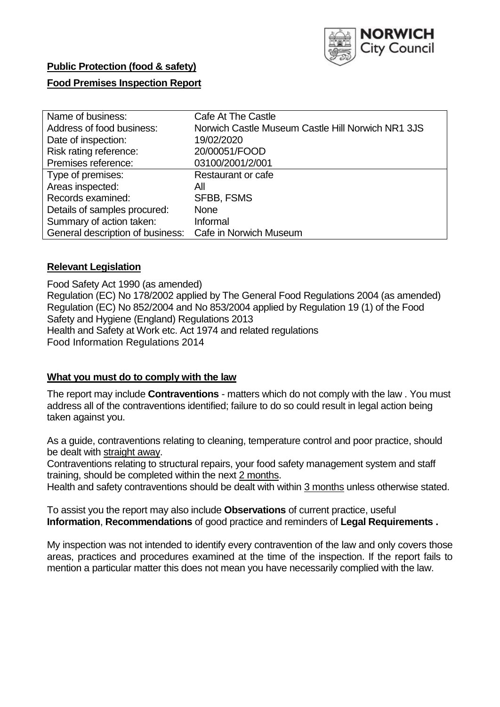

# **Public Protection (food & safety) Food Premises Inspection Report**

| Name of business:                                       | Cafe At The Castle                                |
|---------------------------------------------------------|---------------------------------------------------|
| Address of food business:                               | Norwich Castle Museum Castle Hill Norwich NR1 3JS |
| Date of inspection:                                     | 19/02/2020                                        |
| Risk rating reference:                                  | 20/00051/FOOD                                     |
| Premises reference:                                     | 03100/2001/2/001                                  |
| Type of premises:                                       | Restaurant or cafe                                |
| Areas inspected:                                        | All                                               |
| Records examined:                                       | <b>SFBB, FSMS</b>                                 |
| Details of samples procured:                            | <b>None</b>                                       |
| Summary of action taken:                                | Informal                                          |
| General description of business: Cafe in Norwich Museum |                                                   |

## **Relevant Legislation**

Food Safety Act 1990 (as amended) Regulation (EC) No 178/2002 applied by The General Food Regulations 2004 (as amended) Regulation (EC) No 852/2004 and No 853/2004 applied by Regulation 19 (1) of the Food Safety and Hygiene (England) Regulations 2013 Health and Safety at Work etc. Act 1974 and related regulations Food Information Regulations 2014

## **What you must do to comply with the law**

The report may include **Contraventions** - matters which do not comply with the law . You must address all of the contraventions identified; failure to do so could result in legal action being taken against you.

As a guide, contraventions relating to cleaning, temperature control and poor practice, should be dealt with straight away.

Contraventions relating to structural repairs, your food safety management system and staff training, should be completed within the next 2 months.

Health and safety contraventions should be dealt with within 3 months unless otherwise stated.

To assist you the report may also include **Observations** of current practice, useful **Information**, **Recommendations** of good practice and reminders of **Legal Requirements .**

My inspection was not intended to identify every contravention of the law and only covers those areas, practices and procedures examined at the time of the inspection. If the report fails to mention a particular matter this does not mean you have necessarily complied with the law.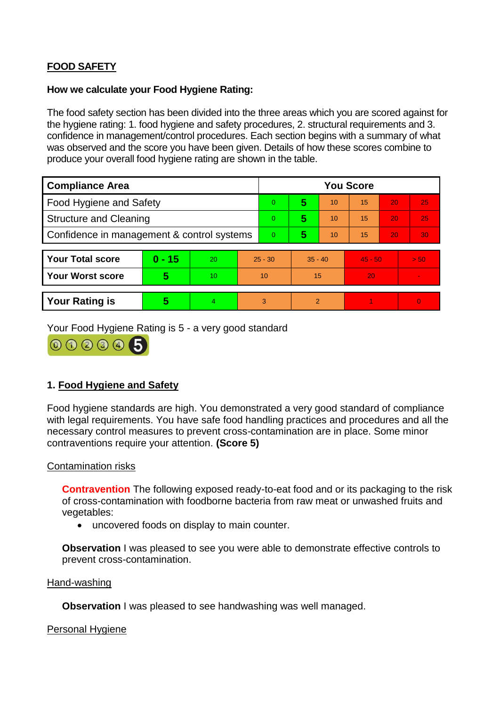# **FOOD SAFETY**

#### **How we calculate your Food Hygiene Rating:**

The food safety section has been divided into the three areas which you are scored against for the hygiene rating: 1. food hygiene and safety procedures, 2. structural requirements and 3. confidence in management/control procedures. Each section begins with a summary of what was observed and the score you have been given. Details of how these scores combine to produce your overall food hygiene rating are shown in the table.

| <b>Compliance Area</b>                     |          |    |           | <b>You Score</b> |                |    |           |    |                |  |  |
|--------------------------------------------|----------|----|-----------|------------------|----------------|----|-----------|----|----------------|--|--|
| Food Hygiene and Safety                    |          |    |           | $\Omega$         | 5              | 10 | 15        | 20 | 25             |  |  |
| <b>Structure and Cleaning</b>              |          |    | $\Omega$  | 5                | 10             | 15 | 20        | 25 |                |  |  |
| Confidence in management & control systems |          |    | $\Omega$  | 5                | 10             | 15 | 20        | 30 |                |  |  |
|                                            |          |    |           |                  |                |    |           |    |                |  |  |
| <b>Your Total score</b>                    | $0 - 15$ | 20 | $25 - 30$ |                  | $35 - 40$      |    | $45 - 50$ |    | > 50           |  |  |
| <b>Your Worst score</b>                    | 5        | 10 | 10        |                  | 15             |    | 20        |    | $\blacksquare$ |  |  |
|                                            |          |    |           |                  |                |    |           |    |                |  |  |
| <b>Your Rating is</b>                      | 5        | 4. | 3         |                  | $\overline{2}$ |    |           |    | $\overline{0}$ |  |  |

Your Food Hygiene Rating is 5 - a very good standard



# **1. Food Hygiene and Safety**

Food hygiene standards are high. You demonstrated a very good standard of compliance with legal requirements. You have safe food handling practices and procedures and all the necessary control measures to prevent cross-contamination are in place. Some minor contraventions require your attention. **(Score 5)**

## Contamination risks

**Contravention** The following exposed ready-to-eat food and or its packaging to the risk of cross-contamination with foodborne bacteria from raw meat or unwashed fruits and vegetables:

uncovered foods on display to main counter.

**Observation** I was pleased to see you were able to demonstrate effective controls to prevent cross-contamination.

#### Hand-washing

**Observation I** was pleased to see handwashing was well managed.

Personal Hygiene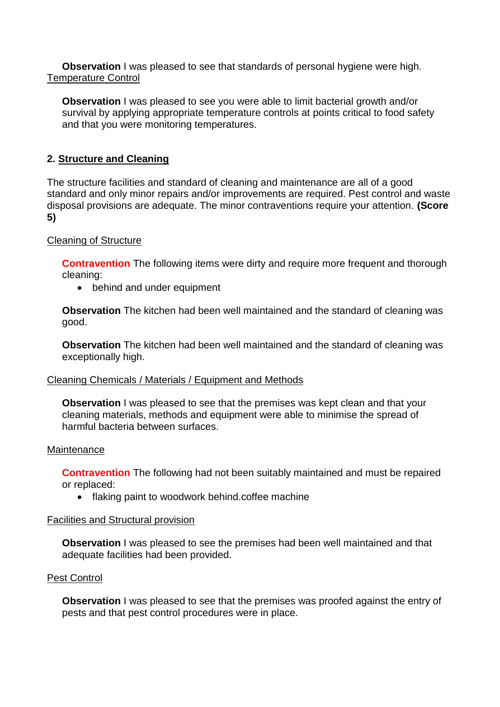**Observation** I was pleased to see that standards of personal hygiene were high. Temperature Control

**Observation** I was pleased to see you were able to limit bacterial growth and/or survival by applying appropriate temperature controls at points critical to food safety and that you were monitoring temperatures.

## **2. Structure and Cleaning**

The structure facilities and standard of cleaning and maintenance are all of a good standard and only minor repairs and/or improvements are required. Pest control and waste disposal provisions are adequate. The minor contraventions require your attention. **(Score 5)**

## Cleaning of Structure

**Contravention** The following items were dirty and require more frequent and thorough cleaning:

• behind and under equipment

**Observation** The kitchen had been well maintained and the standard of cleaning was good.

**Observation** The kitchen had been well maintained and the standard of cleaning was exceptionally high.

## Cleaning Chemicals / Materials / Equipment and Methods

**Observation** I was pleased to see that the premises was kept clean and that your cleaning materials, methods and equipment were able to minimise the spread of harmful bacteria between surfaces.

#### Maintenance

**Contravention** The following had not been suitably maintained and must be repaired or replaced:

• flaking paint to woodwork behind.coffee machine

#### Facilities and Structural provision

**Observation** I was pleased to see the premises had been well maintained and that adequate facilities had been provided.

## Pest Control

**Observation** I was pleased to see that the premises was proofed against the entry of pests and that pest control procedures were in place.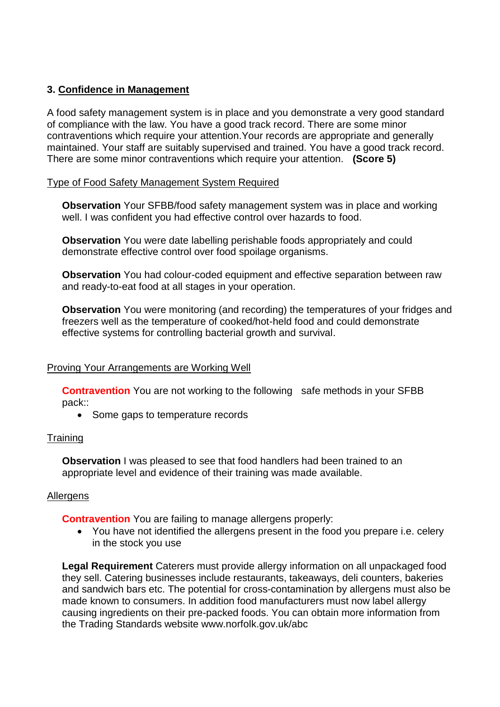## **3. Confidence in Management**

A food safety management system is in place and you demonstrate a very good standard of compliance with the law. You have a good track record. There are some minor contraventions which require your attention.Your records are appropriate and generally maintained. Your staff are suitably supervised and trained. You have a good track record. There are some minor contraventions which require your attention. **(Score 5)**

## Type of Food Safety Management System Required

**Observation** Your SFBB/food safety management system was in place and working well. I was confident you had effective control over hazards to food.

**Observation** You were date labelling perishable foods appropriately and could demonstrate effective control over food spoilage organisms.

**Observation** You had colour-coded equipment and effective separation between raw and ready-to-eat food at all stages in your operation.

**Observation** You were monitoring (and recording) the temperatures of your fridges and freezers well as the temperature of cooked/hot-held food and could demonstrate effective systems for controlling bacterial growth and survival.

## Proving Your Arrangements are Working Well

**Contravention** You are not working to the following safe methods in your SFBB pack::

• Some gaps to temperature records

# **Training**

**Observation** I was pleased to see that food handlers had been trained to an appropriate level and evidence of their training was made available.

## Allergens

**Contravention** You are failing to manage allergens properly:

 You have not identified the allergens present in the food you prepare i.e. celery in the stock you use

**Legal Requirement** Caterers must provide allergy information on all unpackaged food they sell. Catering businesses include restaurants, takeaways, deli counters, bakeries and sandwich bars etc. The potential for cross-contamination by allergens must also be made known to consumers. In addition food manufacturers must now label allergy causing ingredients on their pre-packed foods. You can obtain more information from the Trading Standards website www.norfolk.gov.uk/abc